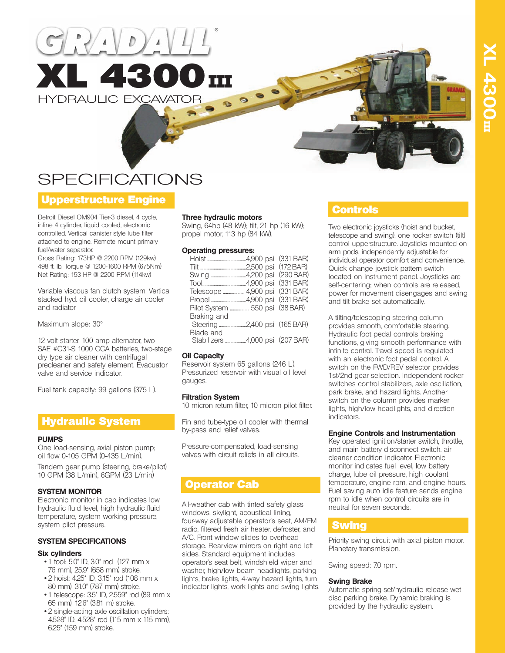



# **SPECIFICATIONS**

## Upperstructure Engine

Detroit Diesel OM904 Tier-3 diesel, 4 cycle, inline 4 cylinder, liquid cooled, electronic controlled. Vertical canister style lube filter attached to engine. Remote mount primary fuel/water separator.

Gross Rating: 173HP @ 2200 RPM (129kw) 498 ft. lb. Torque @ 1200-1600 RPM (675Nm) Net Rating: 153 HP @ 2200 RPM (114kw)

Variable viscous fan clutch system. Vertical stacked hyd. oil cooler, charge air cooler and radiator

Maximum slope: 30°

12 volt starter, 100 amp alternator, two SAE #C31-S 1000 CCA batteries, two-stage dry type air cleaner with centrifugal precleaner and safety element. Evacuator valve and service indicator.

Fuel tank capacity: 99 gallons (375 L).

## Hydraulic System

#### **PUMPS**

One load-sensing, axial piston pump; oil flow 0-105 GPM (0-435 L/min).

Tandem gear pump (steering, brake/pilot) 10 GPM (38 L/min), 6GPM (23 L/min)

### **SYSTEM MONITOR**

Electronic monitor in cab indicates low hydraulic fluid level, high hydraulic fluid temperature, system working pressure, system pilot pressure.

### **SYSTEM SPECIFICATIONS**

### **Six cylinders**

- 1 tool: 5.0" ID, 3.0" rod (127 mm x 76 mm), 25.9" (658 mm) stroke.
- 2 hoist: 4.25" ID, 3.15" rod (108 mm x 80 mm), 31.0" (787 mm) stroke.
- 1 telescope: 3.5" ID, 2.559" rod (89 mm x 65 mm), 12'6" (3.81 m) stroke.
- 2 single-acting axle oscillation cylinders: 4.528" ID, 4.528" rod (115 mm x 115 mm), 6.25" (159 mm) stroke.

### **Three hydraulic motors**

Swing, 64hp (48 kW); tilt, 21 hp (16 kW); propel motor, 113 hp (84 kW).

#### **Operating pressures:**

|                                 | (331 BAR) |
|---------------------------------|-----------|
|                                 | (172 BAR) |
|                                 | (290 BAR) |
|                                 | (331 BAR) |
| Telescope  4,900 psi            | (331 BAR) |
|                                 | (331 BAR) |
| Pilot System  550 psi           | (38 BAR)  |
| Braking and                     |           |
|                                 |           |
| Blade and                       |           |
| Stabilizers 4,000 psi (207 BAR) |           |
|                                 |           |

### **Oil Capacity**

Reservoir system 65 gallons (246 L). Pressurized reservoir with visual oil level gauges.

### **Filtration System**

10 micron return filter, 10 micron pilot filter.

Fin and tube-type oil cooler with thermal by-pass and relief valves.

Pressure-compensated, load-sensing valves with circuit reliefs in all circuits.

## Operator Cab

All-weather cab with tinted safety glass windows, skylight, acoustical lining, four-way adjustable operator's seat, AM/FM radio, filtered fresh air heater, defroster, and A/C. Front window slides to overhead storage. Rearview mirrors on right and left sides. Standard equipment includes operator's seat belt, windshield wiper and washer, high/low beam headlights, parking lights, brake lights, 4-way hazard lights, turn indicator lights, work lights and swing lights.

## Controls

Two electronic joysticks (hoist and bucket, telescope and swing), one rocker switch (tilt) control upperstructure. Joysticks mounted on arm pods, independently adjustable for individual operator comfort and convenience. Quick change joystick pattern switch located on instrument panel. Joysticks are self-centering; when controls are released, power for movement disengages and swing and tilt brake set automatically.

A tilting/telescoping steering column provides smooth, comfortable steering. Hydraulic foot pedal controls braking functions, giving smooth performance with infinite control. Travel speed is regulated with an electronic foot pedal control. A switch on the FWD/REV selector provides 1st/2nd gear selection. Independent rocker switches control stabilizers, axle oscillation, park brake, and hazard lights. Another switch on the column provides marker lights, high/low headlights, and direction indicators.

### **Engine Controls and Instrumentation**

Key operated ignition/starter switch, throttle, and main battery disconnect switch. air cleaner condition indicator. Electronic monitor indicates fuel level, low battery charge, lube oil pressure, high coolant temperature, engine rpm, and engine hours. Fuel saving auto idle feature sends engine rpm to idle when control circuits are in neutral for seven seconds.

## **Swing**

Priority swing circuit with axial piston motor. Planetary transmission.

Swing speed: 7.0 rpm.

### **Swing Brake**

Automatic spring-set/hydraulic release wet disc parking brake. Dynamic braking is provided by the hydraulic system.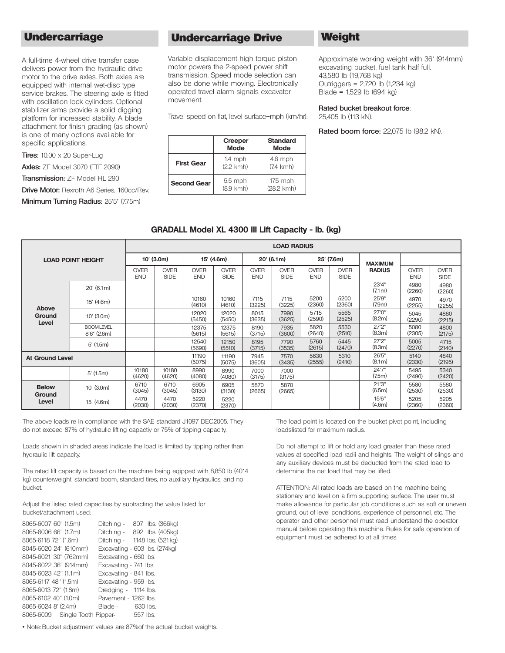## **Undercarriage**

A full-time 4-wheel drive transfer case delivers power from the hydraulic drive motor to the drive axles. Both axles are equipped with internal wet-disc type service brakes. The steering axle is fitted with oscillation lock cylinders. Optional stabilizer arms provide a solid digging platform for increased stability. A blade attachment for finish grading (as shown) is one of many options available for specific applications.

**Tires:** 10.00 x 20 Super-Lug

**Axles:** ZF Model 3070 (FTF 2090)

**Transmission:** ZF Model HL 290

**Drive Motor:** Rexroth A6 Series, 160cc/Rev.

**Minimum Turning Radius:** 25'5" (7.75m)

## Undercarriage Drive Weight

Variable displacement high torque piston motor powers the 2-speed power shift transmission. Speed mode selection can also be done while moving. Electronically operated travel alarm signals excavator movement.

Travel speed on flat, level surface–mph (km/hr):

|                    | <b>Creeper</b><br><b>Mode</b>    | <b>Standard</b><br><b>Mode</b>   |
|--------------------|----------------------------------|----------------------------------|
| <b>First Gear</b>  | $1.4$ mph<br>$(2.2 \text{ kmh})$ | $4.6$ mph<br>$(7.4 \text{ kmh})$ |
| <b>Second Gear</b> | $5.5$ mph<br>$(8.9$ km $h)$      | $17.5$ mph<br>(28.2 kmh)         |

Approximate working weight with 36" (914mm) excavating bucket, fuel tank half full. 43,580 lb (19,768 kg) Outriggers = 2,720 lb (1,234 kg) Blade = 1,529 lb (694 kg)

**Rated bucket breakout force**: 25,405 lb (113 kN).

**Rated boom force:** 22,075 lb (98.2 kN).

| GRADALL Model XL 4300 III Lift Capacity - Ib. (kg) |  |  |  |  |
|----------------------------------------------------|--|--|--|--|
|----------------------------------------------------|--|--|--|--|

|                          |                                    | <b>LOAD RADIUS</b>         |                            |                           |                            |                           |                            |                           |                            |                              |                           |                            |
|--------------------------|------------------------------------|----------------------------|----------------------------|---------------------------|----------------------------|---------------------------|----------------------------|---------------------------|----------------------------|------------------------------|---------------------------|----------------------------|
| <b>LOAD POINT HEIGHT</b> |                                    | $10'$ (3.0m)<br>15' (4.6m) |                            |                           | $20'$ (6.1m)               |                           | 25' (7.6m)                 |                           | <b>MAXIMUM</b>             |                              |                           |                            |
|                          |                                    | <b>OVER</b><br><b>END</b>  | <b>OVER</b><br><b>SIDE</b> | <b>OVER</b><br><b>END</b> | <b>OVER</b><br><b>SIDE</b> | <b>OVER</b><br><b>END</b> | <b>OVER</b><br><b>SIDE</b> | <b>OVER</b><br><b>END</b> | <b>OVER</b><br><b>SIDE</b> | <b>RADIUS</b>                | <b>OVER</b><br><b>END</b> | <b>OVER</b><br><b>SIDE</b> |
|                          | $20'$ (6.1m)                       |                            |                            |                           |                            |                           |                            |                           |                            | 23'4"<br>(7.1m)              | 4980<br>(2260)            | 4980<br>(2260)             |
| Above                    | 15' (4.6m)                         |                            |                            | 10160<br>(4610)           | 10160<br>(4610)            | 7115<br>(3225)            | 7115<br>(3225)             | 5200<br>(2360)            | 5200<br>(2360)             | 25'9"<br>(7.9 <sub>m</sub> ) | 4970<br>(2255)            | 4970<br>(2255)             |
| Ground<br>Level          | $10'$ (3.0m)                       |                            |                            | 12020<br>(5450)           | 12020<br>(5450)            | 8015<br>(3635)            | 7990<br>(3625)             | 5715<br>(2590)            | 5565<br>(2525)             | 27'0"<br>(8.2m)              | 5045<br>(2290)            | 4880<br>(2215)             |
|                          | <b>BOOMLEVEL</b><br>$8'6''$ (2.6m) |                            |                            | 12375<br>(5615)           | 12375<br>(5615)            | 8190<br>(3715)            | 7935<br>(3600)             | 5820<br>(2640)            | 5530<br>(2510)             | 27'2"<br>(8.3m)              | 5080<br>(2305)            | 4800<br>(2175)             |
|                          | $5'$ (1.5m)                        |                            |                            | 12540<br>(5690)           | 12150<br>(5510)            | 8195<br>(3715)            | 7790<br>(3535)             | 5760<br>(2615)            | 5445<br>(2470)             | 27'2''<br>(8.3m)             | 5005<br>(2270)            | 4715<br>(2140)             |
| <b>At Ground Level</b>   |                                    |                            |                            | 11190<br>(5075)           | 11190<br>(5075)            | 7945<br>(3605)            | 7570<br>(3435)             | 5630<br>(2555)            | 5310<br>(2410)             | 26'5"<br>(8.1 m)             | 5140<br>(2330)            | 4840<br>(2195)             |
|                          | $5'$ (1.5m)                        | 10180<br>(4620)            | 10180<br>(4620)            | 8990<br>(4080)            | 8990<br>(4080)             | 7000<br>(3175)            | 7000<br>(3175)             |                           |                            | 24'7"<br>(7.5m)              | 5495<br>(2490)            | 5340<br>(2420)             |
| <b>Below</b><br>Ground   | $10'$ (3.0m)                       | 6710<br>(3045)             | 6710<br>(3045)             | 6905<br>(3130)            | 6905<br>(3130)             | 5870<br>(2665)            | 5870<br>(2665)             |                           |                            | 21'3''<br>(6.5m)             | 5580<br>(2530)            | 5580<br>(2530)             |
| Level                    | 15' (4.6m)                         | 4470<br>(2030)             | 4470<br>(2030)             | 5220<br>(2370)            | 5220<br>(2370)             |                           |                            |                           |                            | 15'6"<br>(4.6m)              | 5205<br>(2360)            | 5205<br>(2360)             |

The above loads re in compliance with the SAE standard J1097 DEC2005. They do not exceed 87% of hydraulic lifting capactiy or 75% of tipping capacity.

Loads showin in shaded areas indicate the load is limited by tipping rather than hydraulic lift capacity.

The rated lift capacity is based on the machine being eqipped with 8,850 lb (4014 kg) counterweight, standard boom, standard tires, no auxiliary hydraulics, and no bucket.

Adjust the listed rated capacities by subtracting the value listed for bucket/attachment used:

| 8065-6007 60" (1.5m)           | Ditching -                    |          | 807 lbs. (366kg) |
|--------------------------------|-------------------------------|----------|------------------|
| 8065-6006 66" (1.7m)           | Ditching - 892 lbs. (405kg)   |          |                  |
| 8065-6118 72" (1.6m)           | Ditching - 1148 lbs. (521kg)  |          |                  |
| 8045-6020 24" (610mm)          | Excavating - 603 lbs. (274kg) |          |                  |
| 8045-6021 30" (762mm)          | Excavating - 660 lbs.         |          |                  |
| 8045-6022 36" (914mm)          | Excavating - 741 lbs.         |          |                  |
| 8045-6023 42" (1.1m)           | Excavating - 841 lbs.         |          |                  |
| 8065-6117 48" (1.5m)           | Excavating - 959 lbs.         |          |                  |
| 8065-6013 72" (1.8m)           | Dredging - 1114 lbs.          |          |                  |
| 8065-6102 40" (1.0m)           | Pavement - 1262 lbs.          |          |                  |
| 8065-6024 8' (2.4m)            | Blade -                       | 630 lbs. |                  |
| 8065-6009 Single Tooth Ripper- |                               | 557 lbs. |                  |

• Note: Bucket adjustment values are 87% of the actual bucket weights.

The load point is located on the bucket pivot point, including loadslisted for maximum radius.

Do not attempt to lift or hold any load greater than these rated values at specified load radii and heights. The weight of slings and any auxiliary devices must be deducted from the rated load to determine the net load that may be lifted.

ATTENTION: All rated loads are based on the machine being stationary and level on a firm supporting surface. The user must make allowance for particular job conditions such as soft or uneven ground, out of level conditions, experience of personnel, etc. The operator and other personnel must read understand the operator manual before operating this machine. Rules for safe operation of equipment must be adhered to at all times.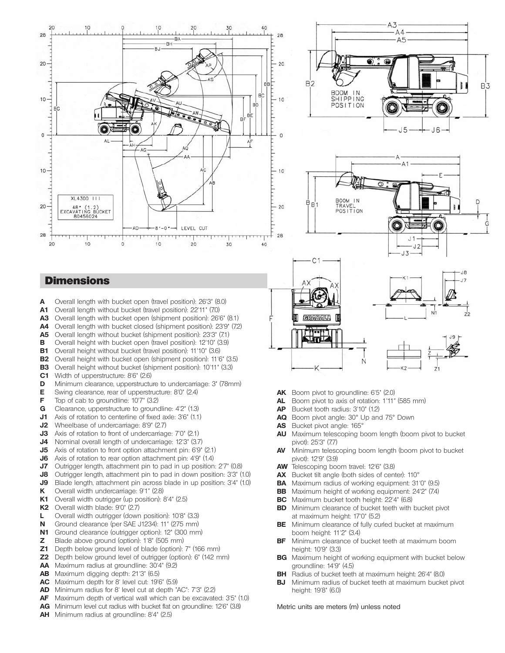





 $J\bar{3}$ 

 $17$ 

## **Dimensions**

- **A** Overall length with bucket open (travel position): 26'3" (8.0)
- **A1** Overall length without bucket (travel position): 22'11" (7.0)
- **A3** Overall length with bucket open (shipment position): 26'6" (8.1)
- **A4** Overall length with bucket closed (shipment position): 23'9" (7.2)
- **A5** Overall length without bucket (shipment position): 23'3" (7.1)
- **B** Overall height with bucket open (travel position): 12'10" (3.9)
- **B1** Overall height without bucket (travel position): 11'10" (3.6)
- **B2** Overall height with bucket open (shipment position): 11'6" (3.5)
- **B3** Overall height without bucket (shipment position): 10'11" (3.3)
- **C1** Width of upperstructure: 8'6" (2.6)
- **D** Minimum clearance, upperstructure to undercarriage: 3" (78mm)
- **E** Swing clearance, rear of upperstructure: 8'0" (2.4)
- **F** Top of cab to groundline: 10'7" (3.2)
- **G** Clearance, upperstructure to groundline: 4'2" (1.3)
- **J1** Axis of rotation to centerline of fixed axle: 3'6" (1.1)
- **J2** Wheelbase of undercarriage: 8'9" (2.7)
- **J3** Axis of rotation to front of undercarriage: 7'0" (2.1)
- **J4** Nominal overall length of undercarriage: 12'3" (3.7)
- **J5** Axis of rotation to front option attachment pin: 6'9" (2.1)
- **J6** Axis of rotation to rear option attachment pin: 4'9" (1.4)
- **J7** Outrigger length, attachment pin to pad in up position: 2'7" (0.8)
- **J8** Outrigger length, attachment pin to pad in down position: 3'3" (1.0)
- **J9** Blade length, attachment pin across blade in up position: 3'4" (1.0)
- **K** Overall width undercarriage: 9'1" (2.8)
- **K1** Overall width outrigger (up position): 8'4" (2.5)
- **K2** Overall width blade: 9'0" (2.7)
- **L** Overall width outrigger (down position): 10'8" (3.3)
- **N** Ground clearance (per SAE J1234): 11" (275 mm)
- **N1** Ground clearance (outrigger option): 12" (300 mm)
- **Z** Blade above ground (option): 1'8" (505 mm)
- **Z1** Depth below ground level of blade (option): 7" (166 mm)
- **Z2** Depth below ground level of outrigger (option): 6" (142 mm)
- **AA** Maximum radius at groundline: 30'4" (9.2)
- **AB** Maximum digging depth: 21'3" (6.5)
- **AC** Maximum depth for 8' level cut: 19'6" (5.9)
- **AD** Minimum radius for 8' level cut at depth "AC": 7'3" (2.2)
- **AF** Maximum depth of vertical wall which can be excavated: 3'5" (1.0)
- **AG** Minimum level cut radius with bucket flat on groundline: 12'6" (3.8)
- **AH** Minimum radius at groundline: 8'4" (2.5)
- **AK** Boom pivot to groundline: 6'5" (2.0)
- **AL** Boom pivot to axis of rotation: 1'11" (585 mm)
- **AP** Bucket tooth radius: 3'10" (1.2)
- **AQ** Boom pivot angle: 30° Up and 75° Down
- **AS** Bucket pivot angle: 165°
- **AU** Maximum telescoping boom length (boom pivot to bucket pivot): 25'3" (7.7)
- **AV** Minimum telescoping boom length (boom pivot to bucket pivot): 12'9" (3.9)
- **AW** Telescoping boom travel: 12'6" (3.8)
- **AX** Bucket tilt angle (both sides of center): 110°
- **BA** Maximum radius of working equipment: 31'0" (9.5)
- **BB** Maximum height of working equipment: 24'2" (7.4)
- **BC** Maximum bucket tooth height: 22'4" (6.8)
- **BD** Minimum clearance of bucket teeth with bucket pivot at maximum height: 17'0" (5.2)
- **BE** Minimum clearance of fully curled bucket at maximum boom height: 11'2" (3.4)
- **BF** Minimum clearance of bucket teeth at maximum boom height: 10'9" (3.3)
- **BG** Maximum height of working equipment with bucket below groundline: 14'9" (4.5)
- **BH** Radius of bucket teeth at maximum height: 26'4" (8.0)
- **BJ** Minimum radius of bucket teeth at maximum bucket pivot height: 19'8" (6.0)

Metric units are meters (m) unless noted